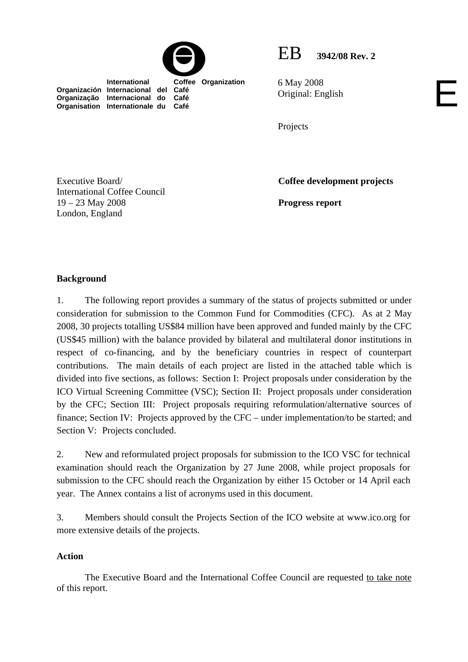

 **International Coffee Organization** 



E

6 May 2008 Original: English

Projects

Executive Board/ International Coffee Council 19 – 23 May 2008 London, England

**Organización Internacional del Café Organização Internacional do Café Organisation Internationale du Café**

**Coffee development projects** 

**Progress report** 

## **Background**

1. The following report provides a summary of the status of projects submitted or under consideration for submission to the Common Fund for Commodities (CFC). As at 2 May 2008, 30 projects totalling US\$84 million have been approved and funded mainly by the CFC (US\$45 million) with the balance provided by bilateral and multilateral donor institutions in respect of co-financing, and by the beneficiary countries in respect of counterpart contributions*.* The main details of each project are listed in the attached table which is divided into five sections, as follows: Section I: Project proposals under consideration by the ICO Virtual Screening Committee (VSC); Section II: Project proposals under consideration by the CFC; Section III: Project proposals requiring reformulation/alternative sources of finance; Section IV: Projects approved by the CFC – under implementation/to be started; and Section V: Projects concluded.

2. New and reformulated project proposals for submission to the ICO VSC for technical examination should reach the Organization by 27 June 2008, while project proposals for submission to the CFC should reach the Organization by either 15 October or 14 April each year. The Annex contains a list of acronyms used in this document.

3. Members should consult the Projects Section of the ICO website at www.ico.org for more extensive details of the projects.

## **Action**

The Executive Board and the International Coffee Council are requested to take note of this report.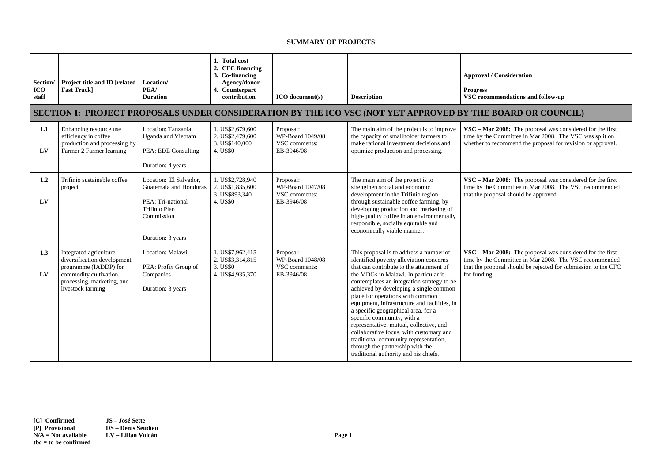## **SUMMARY OF PROJECTS**

| Section/<br><b>ICO</b><br>staff | Project title and ID [related<br><b>Fast Trackl</b>                                                                                                         | Location/<br>PEA/<br><b>Duration</b>                                                                                      | 1. Total cost<br>2. CFC financing<br>3. Co-financing<br>Agency/donor<br>4. Counterpart<br>contribution | <b>ICO</b> document(s)                                       | <b>Description</b>                                                                                                                                                                                                                                                                                                                                                                                                                                                                                                                                                                                                                  | <b>Approval / Consideration</b><br><b>Progress</b><br>VSC recommendations and follow-up                                                                                                               |  |  |  |  |
|---------------------------------|-------------------------------------------------------------------------------------------------------------------------------------------------------------|---------------------------------------------------------------------------------------------------------------------------|--------------------------------------------------------------------------------------------------------|--------------------------------------------------------------|-------------------------------------------------------------------------------------------------------------------------------------------------------------------------------------------------------------------------------------------------------------------------------------------------------------------------------------------------------------------------------------------------------------------------------------------------------------------------------------------------------------------------------------------------------------------------------------------------------------------------------------|-------------------------------------------------------------------------------------------------------------------------------------------------------------------------------------------------------|--|--|--|--|
|                                 | SECTION I: PROJECT PROPOSALS UNDER CONSIDERATION BY THE ICO VSC (NOT YET APPROVED BY THE BOARD OR COUNCIL)                                                  |                                                                                                                           |                                                                                                        |                                                              |                                                                                                                                                                                                                                                                                                                                                                                                                                                                                                                                                                                                                                     |                                                                                                                                                                                                       |  |  |  |  |
| 1.1<br>LV                       | Enhancing resource use<br>efficiency in coffee<br>production and processing by<br>Farmer 2 Farmer learning                                                  | Location: Tanzania.<br>Uganda and Vietnam<br>PEA: EDE Consulting<br>Duration: 4 years                                     | 1. US\$2,679,600<br>2. US\$2,479,600<br>3. US\$140,000<br>4. US\$0                                     | Proposal:<br>WP-Board 1049/08<br>VSC comments:<br>EB-3946/08 | The main aim of the project is to improve<br>the capacity of smallholder farmers to<br>make rational investment decisions and<br>optimize production and processing.                                                                                                                                                                                                                                                                                                                                                                                                                                                                | VSC – Mar 2008: The proposal was considered for the first<br>time by the Committee in Mar 2008. The VSC was split on<br>whether to recommend the proposal for revision or approval.                   |  |  |  |  |
| 1.2<br>LV                       | Trifinio sustainable coffee<br>project                                                                                                                      | Location: El Salvador,<br>Guatemala and Honduras<br>PEA: Tri-national<br>Trifinio Plan<br>Commission<br>Duration: 3 years | 1. US\$2,728,940<br>2. US\$1,835,600<br>3. US\$893,340<br>4. US\$0                                     | Proposal:<br>WP-Board 1047/08<br>VSC comments:<br>EB-3946/08 | The main aim of the project is to<br>strengthen social and economic<br>development in the Trifinio region<br>through sustainable coffee farming, by<br>developing production and marketing of<br>high-quality coffee in an environmentally<br>responsible, socially equitable and<br>economically viable manner.                                                                                                                                                                                                                                                                                                                    | VSC - Mar 2008: The proposal was considered for the first<br>time by the Committee in Mar 2008. The VSC recommended<br>that the proposal should be approved.                                          |  |  |  |  |
| 1.3<br>LV                       | Integrated agriculture<br>diversification development<br>programme (IADDP) for<br>commodity cultivation,<br>processing, marketing, and<br>livestock farming | Location: Malawi<br>PEA: Profix Group of<br>Companies<br>Duration: 3 years                                                | 1. US\$7.962.415<br>2. US\$3,314,815<br>3. US\$0<br>4. US\$4,935,370                                   | Proposal:<br>WP-Board 1048/08<br>VSC comments:<br>EB-3946/08 | This proposal is to address a number of<br>identified poverty alleviation concerns<br>that can contribute to the attainment of<br>the MDGs in Malawi. In particular it<br>contemplates an integration strategy to be<br>achieved by developing a single common<br>place for operations with common<br>equipment, infrastructure and facilities, in<br>a specific geographical area, for a<br>specific community, with a<br>representative, mutual, collective, and<br>collaborative focus, with customary and<br>traditional community representation,<br>through the partnership with the<br>traditional authority and his chiefs. | VSC – Mar 2008: The proposal was considered for the first<br>time by the Committee in Mar 2008. The VSC recommended<br>that the proposal should be rejected for submission to the CFC<br>for funding. |  |  |  |  |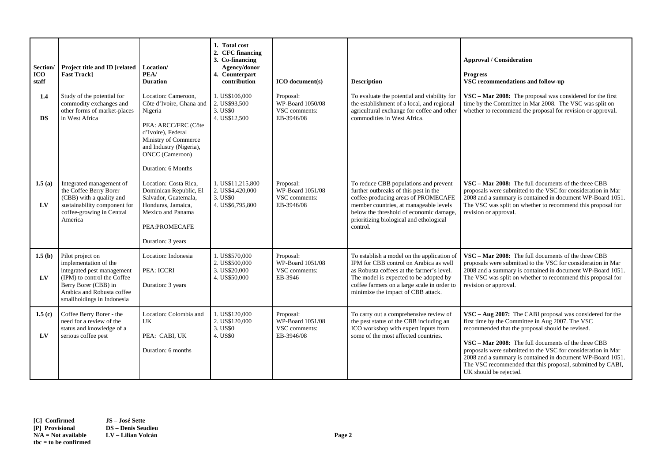| Section/<br><b>ICO</b><br>staff | Project title and ID [related<br><b>Fast Trackl</b>                                                                                                                                        | Location/<br>PEA/<br><b>Duration</b>                                                                                                                                                                       | 1. Total cost<br>2. CFC financing<br>3. Co-financing<br>Agency/donor<br>4. Counterpart<br>contribution | <b>ICO</b> document(s)                                       | <b>Description</b>                                                                                                                                                                                                                                                | <b>Approval / Consideration</b><br><b>Progress</b><br>VSC recommendations and follow-up                                                                                                                                                                                                                                                                                                                                                       |
|---------------------------------|--------------------------------------------------------------------------------------------------------------------------------------------------------------------------------------------|------------------------------------------------------------------------------------------------------------------------------------------------------------------------------------------------------------|--------------------------------------------------------------------------------------------------------|--------------------------------------------------------------|-------------------------------------------------------------------------------------------------------------------------------------------------------------------------------------------------------------------------------------------------------------------|-----------------------------------------------------------------------------------------------------------------------------------------------------------------------------------------------------------------------------------------------------------------------------------------------------------------------------------------------------------------------------------------------------------------------------------------------|
| 1.4<br>DS.                      | Study of the potential for<br>commodity exchanges and<br>other forms of market-places<br>in West Africa                                                                                    | Location: Cameroon,<br>Côte d'Ivoire, Ghana and<br>Nigeria<br>PEA: ARCC/FRC (Côte<br>d'Ivoire), Federal<br>Ministry of Commerce<br>and Industry (Nigeria),<br><b>ONCC</b> (Cameroon)<br>Duration: 6 Months | 1. US\$106,000<br>2. US\$93,500<br>3. US\$0<br>4. US\$12.500                                           | Proposal:<br>WP-Board 1050/08<br>VSC comments:<br>EB-3946/08 | To evaluate the potential and viability for<br>the establishment of a local, and regional<br>agricultural exchange for coffee and other<br>commodities in West Africa.                                                                                            | VSC - Mar 2008: The proposal was considered for the first<br>time by the Committee in Mar 2008. The VSC was split on<br>whether to recommend the proposal for revision or approval.                                                                                                                                                                                                                                                           |
| 1.5(a)<br>LV                    | Integrated management of<br>the Coffee Berry Borer<br>(CBB) with a quality and<br>sustainability component for<br>coffee-growing in Central<br>America                                     | Location: Costa Rica,<br>Dominican Republic, El<br>Salvador, Guatemala,<br>Honduras, Jamaica,<br>Mexico and Panama<br>PEA:PROMECAFE<br>Duration: 3 years                                                   | 1. US\$11,215,800<br>2. US\$4,420,000<br>3. US\$0<br>4. US\$6,795,800                                  | Proposal:<br>WP-Board 1051/08<br>VSC comments:<br>EB-3946/08 | To reduce CBB populations and prevent<br>further outbreaks of this pest in the<br>coffee-producing areas of PROMECAFE<br>member countries, at manageable levels<br>below the threshold of economic damage,<br>prioritizing biological and ethological<br>control. | VSC – Mar 2008: The full documents of the three CBB<br>proposals were submitted to the VSC for consideration in Mar<br>2008 and a summary is contained in document WP-Board 1051.<br>The VSC was split on whether to recommend this proposal for<br>revision or approval.                                                                                                                                                                     |
| 1.5(b)<br>LV                    | Pilot project on<br>implementation of the<br>integrated pest management<br>(IPM) to control the Coffee<br>Berry Borer (CBB) in<br>Arabica and Robusta coffee<br>smallholdings in Indonesia | Location: Indonesia<br>PEA: ICCRI<br>Duration: 3 years                                                                                                                                                     | 1. US\$570,000<br>2. US\$500,000<br>3. US\$20,000<br>4. US\$50,000                                     | Proposal:<br>WP-Board 1051/08<br>VSC comments:<br>EB-3946    | To establish a model on the application of<br>IPM for CBB control on Arabica as well<br>as Robusta coffees at the farmer's level.<br>The model is expected to be adopted by<br>coffee farmers on a large scale in order to<br>minimize the impact of CBB attack.  | VSC - Mar 2008: The full documents of the three CBB<br>proposals were submitted to the VSC for consideration in Mar<br>2008 and a summary is contained in document WP-Board 1051.<br>The VSC was split on whether to recommend this proposal for<br>revision or approval.                                                                                                                                                                     |
| 1.5(c)<br>LV                    | Coffee Berry Borer - the<br>need for a review of the<br>status and knowledge of a<br>serious coffee pest                                                                                   | Location: Colombia and<br>UK<br>PEA: CABI, UK<br>Duration: 6 months                                                                                                                                        | 1. US\$120,000<br>2. US\$120,000<br>3. US\$0<br>4. US\$0                                               | Proposal:<br>WP-Board 1051/08<br>VSC comments:<br>EB-3946/08 | To carry out a comprehensive review of<br>the pest status of the CBB including an<br>ICO workshop with expert inputs from<br>some of the most affected countries.                                                                                                 | VSC - Aug 2007: The CABI proposal was considered for the<br>first time by the Committee in Aug 2007. The VSC<br>recommended that the proposal should be revised.<br>VSC - Mar 2008: The full documents of the three CBB<br>proposals were submitted to the VSC for consideration in Mar<br>2008 and a summary is contained in document WP-Board 1051.<br>The VSC recommended that this proposal, submitted by CABI,<br>UK should be rejected. |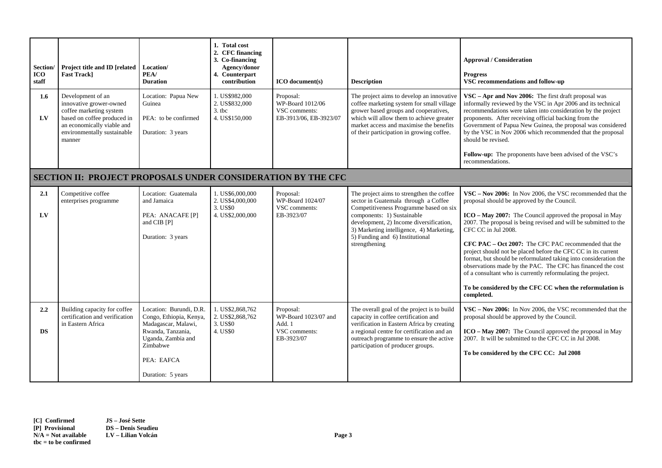| Section/<br><b>ICO</b><br>staff                              | Project title and ID [related<br><b>Fast Track]</b>                                                                                                                           | Location/<br>PEA/<br><b>Duration</b>                                                                                                                                | 1. Total cost<br>2. CFC financing<br>3. Co-financing<br>Agency/donor<br>4. Counterpart<br>contribution | <b>ICO</b> document(s)                                                     | <b>Description</b>                                                                                                                                                                                                                                                                                   | <b>Approval / Consideration</b><br><b>Progress</b><br>VSC recommendations and follow-up                                                                                                                                                                                                                                                                                                                                                                                                                                                                                                                                                                              |  |  |
|--------------------------------------------------------------|-------------------------------------------------------------------------------------------------------------------------------------------------------------------------------|---------------------------------------------------------------------------------------------------------------------------------------------------------------------|--------------------------------------------------------------------------------------------------------|----------------------------------------------------------------------------|------------------------------------------------------------------------------------------------------------------------------------------------------------------------------------------------------------------------------------------------------------------------------------------------------|----------------------------------------------------------------------------------------------------------------------------------------------------------------------------------------------------------------------------------------------------------------------------------------------------------------------------------------------------------------------------------------------------------------------------------------------------------------------------------------------------------------------------------------------------------------------------------------------------------------------------------------------------------------------|--|--|
| 1.6<br>LV                                                    | Development of an<br>innovative grower-owned<br>coffee marketing system<br>based on coffee produced in<br>an economically viable and<br>environmentally sustainable<br>manner | Location: Papua New<br>Guinea<br>PEA: to be confirmed<br>Duration: 3 years                                                                                          | 1. US\$982,000<br>2. US\$832,000<br>$3.$ tbc<br>4. US\$150,000                                         | Proposal:<br>WP-Board 1012/06<br>VSC comments:<br>EB-3913/06, EB-3923/07   | The project aims to develop an innovative<br>coffee marketing system for small village<br>grower based groups and cooperatives,<br>which will allow them to achieve greater<br>market access and maximise the benefits<br>of their participation in growing coffee.                                  | $VSC - Apr$ and Nov 2006: The first draft proposal was<br>informally reviewed by the VSC in Apr 2006 and its technical<br>recommendations were taken into consideration by the project<br>proponents. After receiving official backing from the<br>Government of Papua New Guinea, the proposal was considered<br>by the VSC in Nov 2006 which recommended that the proposal<br>should be revised.<br>Follow-up: The proponents have been advised of the VSC's<br>recommendations.                                                                                                                                                                                   |  |  |
| SECTION II: PROJECT PROPOSALS UNDER CONSIDERATION BY THE CFC |                                                                                                                                                                               |                                                                                                                                                                     |                                                                                                        |                                                                            |                                                                                                                                                                                                                                                                                                      |                                                                                                                                                                                                                                                                                                                                                                                                                                                                                                                                                                                                                                                                      |  |  |
| 2.1<br>LV                                                    | Competitive coffee<br>enterprises programme                                                                                                                                   | Location: Guatemala<br>and Jamaica<br>PEA: ANACAFE [P]<br>and CIB [P]<br>Duration: 3 years                                                                          | 1. US\$6,000,000<br>2. US\$4,000,000<br>3. US\$0<br>4. US\$2,000,000                                   | Proposal:<br>WP-Board 1024/07<br>VSC comments:<br>EB-3923/07               | The project aims to strengthen the coffee<br>sector in Guatemala through a Coffee<br>Competitiveness Programme based on six<br>components: 1) Sustainable<br>development, 2) Income diversification,<br>3) Marketing intelligence, 4) Marketing,<br>5) Funding and 6) Institutional<br>strengthening | VSC - Nov 2006: In Nov 2006, the VSC recommended that the<br>proposal should be approved by the Council.<br>ICO – May 2007: The Council approved the proposal in May<br>2007. The proposal is being revised and will be submitted to the<br>CFC CC in Jul 2008.<br>CFC PAC – Oct 2007: The CFC PAC recommended that the<br>project should not be placed before the CFC CC in its current<br>format, but should be reformulated taking into consideration the<br>observations made by the PAC. The CFC has financed the cost<br>of a consultant who is currently reformulating the project.<br>To be considered by the CFC CC when the reformulation is<br>completed. |  |  |
| $2.2\phantom{0}$<br>DS.                                      | Building capacity for coffee<br>certification and verification<br>in Eastern Africa                                                                                           | Location: Burundi, D.R.<br>Congo, Ethiopia, Kenya,<br>Madagascar, Malawi,<br>Rwanda, Tanzania,<br>Uganda, Zambia and<br>Zimbabwe<br>PEA: EAFCA<br>Duration: 5 years | 1. US\$2,868,762<br>2. US\$2,868,762<br>3. US\$0<br>4. US\$0                                           | Proposal:<br>WP-Board 1023/07 and<br>Add. 1<br>VSC comments:<br>EB-3923/07 | The overall goal of the project is to build<br>capacity in coffee certification and<br>verification in Eastern Africa by creating<br>a regional centre for certification and an<br>outreach programme to ensure the active<br>participation of producer groups.                                      | VSC – Nov 2006: In Nov 2006, the VSC recommended that the<br>proposal should be approved by the Council.<br>ICO – May 2007: The Council approved the proposal in May<br>2007. It will be submitted to the CFC CC in Jul 2008.<br>To be considered by the CFC CC: Jul 2008                                                                                                                                                                                                                                                                                                                                                                                            |  |  |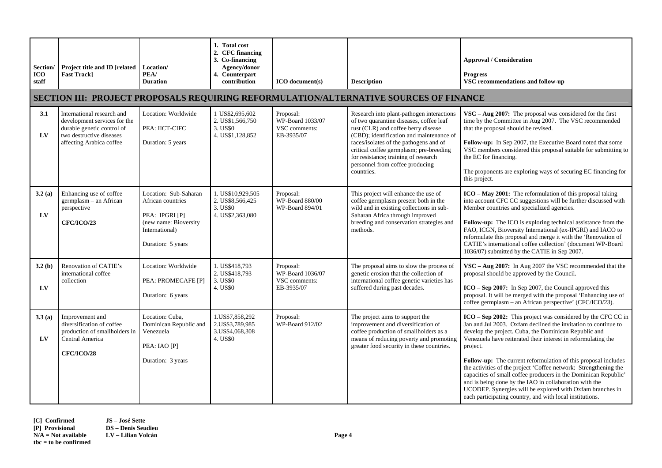| Section/<br>ICO<br>staff | Project title and ID [related<br><b>Fast Track]</b>                                                                                              | Location/<br>PEA/<br><b>Duration</b>                                                                                         | 1. Total cost<br>2. CFC financing<br>3. Co-financing<br>Agency/donor<br>4. Counterpart<br>contribution | $ICO$ document(s)                                            | <b>Description</b>                                                                                                                                                                                                                                                                                                                                    | <b>Approval / Consideration</b><br><b>Progress</b><br>VSC recommendations and follow-up                                                                                                                                                                                                                                                                                                                                                                                                                                                                                                                                                                          |  |  |  |  |
|--------------------------|--------------------------------------------------------------------------------------------------------------------------------------------------|------------------------------------------------------------------------------------------------------------------------------|--------------------------------------------------------------------------------------------------------|--------------------------------------------------------------|-------------------------------------------------------------------------------------------------------------------------------------------------------------------------------------------------------------------------------------------------------------------------------------------------------------------------------------------------------|------------------------------------------------------------------------------------------------------------------------------------------------------------------------------------------------------------------------------------------------------------------------------------------------------------------------------------------------------------------------------------------------------------------------------------------------------------------------------------------------------------------------------------------------------------------------------------------------------------------------------------------------------------------|--|--|--|--|
|                          | SECTION III: PROJECT PROPOSALS REQUIRING REFORMULATION/ALTERNATIVE SOURCES OF FINANCE                                                            |                                                                                                                              |                                                                                                        |                                                              |                                                                                                                                                                                                                                                                                                                                                       |                                                                                                                                                                                                                                                                                                                                                                                                                                                                                                                                                                                                                                                                  |  |  |  |  |
| 3.1<br>$L$ V             | International research and<br>development services for the<br>durable genetic control of<br>two destructive diseases<br>affecting Arabica coffee | Location: Worldwide<br>PEA: IICT-CIFC<br>Duration: 5 years                                                                   | 1 US\$2,695,602<br>2. US\$1,566,750<br>3. US\$0<br>4. US\$1,128,852                                    | Proposal:<br>WP-Board 1033/07<br>VSC comments:<br>EB-3935/07 | Research into plant-pathogen interactions<br>of two quarantine diseases, coffee leaf<br>rust (CLR) and coffee berry disease<br>(CBD); identification and maintenance of<br>races/isolates of the pathogens and of<br>critical coffee germplasm; pre-breeding<br>for resistance; training of research<br>personnel from coffee producing<br>countries. | $VSC - Aug 2007$ : The proposal was considered for the first<br>time by the Committee in Aug 2007. The VSC recommended<br>that the proposal should be revised.<br>Follow-up: In Sep 2007, the Executive Board noted that some<br>VSC members considered this proposal suitable for submitting to<br>the EC for financing.<br>The proponents are exploring ways of securing EC financing for<br>this project.                                                                                                                                                                                                                                                     |  |  |  |  |
| 3.2(a)<br>LV             | Enhancing use of coffee<br>germplasm - an African<br>perspective<br><b>CFC/ICO/23</b>                                                            | Location: Sub-Saharan<br>African countries<br>PEA: IPGRI [P]<br>(new name: Bioversity<br>International)<br>Duration: 5 years | 1. US\$10,929,505<br>2. US\$8,566,425<br>3. US\$0<br>4. US\$2,363,080                                  | Proposal:<br>WP-Board 880/00<br>WP-Board 894/01              | This project will enhance the use of<br>coffee germplasm present both in the<br>wild and in existing collections in sub-<br>Saharan Africa through improved<br>breeding and conservation strategies and<br>methods.                                                                                                                                   | ICO - May 2001: The reformulation of this proposal taking<br>into account CFC CC suggestions will be further discussed with<br>Member countries and specialized agencies.<br>Follow-up: The ICO is exploring technical assistance from the<br>FAO, ICGN, Bioversity International (ex-IPGRI) and IACO to<br>reformulate this proposal and merge it with the 'Renovation of<br>CATIE's international coffee collection' (document WP-Board<br>1036/07) submitted by the CATIE in Sep 2007.                                                                                                                                                                        |  |  |  |  |
| 3.2(b)<br>LV             | Renovation of CATIE's<br>international coffee<br>collection                                                                                      | Location: Worldwide<br>PEA: PROMECAFE [P]<br>Duration: 6 years                                                               | 1. US\$418,793<br>2. US\$418,793<br>3. US\$0<br>4. US\$0                                               | Proposal:<br>WP-Board 1036/07<br>VSC comments:<br>EB-3935/07 | The proposal aims to slow the process of<br>genetic erosion that the collection of<br>international coffee genetic varieties has<br>suffered during past decades.                                                                                                                                                                                     | VSC - Aug 2007: In Aug 2007 the VSC recommended that the<br>proposal should be approved by the Council.<br>ICO – Sep 2007: In Sep 2007, the Council approved this<br>proposal. It will be merged with the proposal 'Enhancing use of<br>coffee germplasm – an African perspective' (CFC/ICO/23).                                                                                                                                                                                                                                                                                                                                                                 |  |  |  |  |
| 3.3(a)<br>LV             | Improvement and<br>diversification of coffee<br>production of smallholders in<br>Central America<br><b>CFC/ICO/28</b>                            | Location: Cuba,<br>Dominican Republic and<br>Venezuela<br>PEA: IAO [P]<br>Duration: 3 years                                  | 1.US\$7,858,292<br>2.US\$3,789,985<br>3.US\$4,068,308<br>4. US\$0                                      | Proposal:<br><b>WP-Board 912/02</b>                          | The project aims to support the<br>improvement and diversification of<br>coffee production of smallholders as a<br>means of reducing poverty and promoting<br>greater food security in these countries.                                                                                                                                               | ICO - Sep 2002: This project was considered by the CFC CC in<br>Jan and Jul 2003. Oxfam declined the invitation to continue to<br>develop the project. Cuba, the Dominican Republic and<br>Venezuela have reiterated their interest in reformulating the<br>project.<br>Follow-up: The current reformulation of this proposal includes<br>the activities of the project 'Coffee network: Strengthening the<br>capacities of small coffee producers in the Dominican Republic'<br>and is being done by the IAO in collaboration with the<br>UCODEP. Synergies will be explored with Oxfam branches in<br>each participating country, and with local institutions. |  |  |  |  |

**[C] Confirmed JS – José Sette [P] Provisional DS – Denis Seudieu** 

**N/A = Not available LV – Lilian Volcán Page 4** 

**tbc = to be confirmed**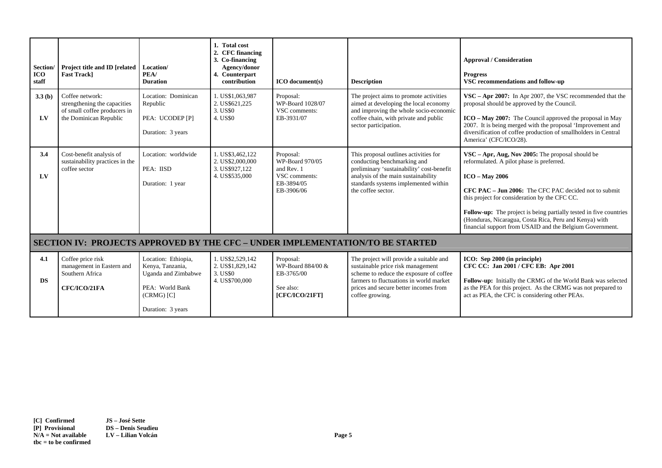| Section/<br><b>ICO</b><br>staff | Project title and ID [related<br><b>Fast Track]</b>                                                       | Location/<br>PEA/<br><b>Duration</b>                                                                                     | 1. Total cost<br>2. CFC financing<br>3. Co-financing<br>Agency/donor<br>4. Counterpart<br>contribution | $ICO$ document(s)                                                                       | <b>Description</b>                                                                                                                                                                                                             | <b>Approval / Consideration</b><br><b>Progress</b><br>VSC recommendations and follow-up                                                                                                                                                                                                                                                                                                                                           |
|---------------------------------|-----------------------------------------------------------------------------------------------------------|--------------------------------------------------------------------------------------------------------------------------|--------------------------------------------------------------------------------------------------------|-----------------------------------------------------------------------------------------|--------------------------------------------------------------------------------------------------------------------------------------------------------------------------------------------------------------------------------|-----------------------------------------------------------------------------------------------------------------------------------------------------------------------------------------------------------------------------------------------------------------------------------------------------------------------------------------------------------------------------------------------------------------------------------|
| 3.3(b)<br>LV                    | Coffee network:<br>strengthening the capacities<br>of small coffee producers in<br>the Dominican Republic | Location: Dominican<br>Republic<br>PEA: UCODEP [P]<br>Duration: 3 years                                                  | 1. US\$1,063,987<br>2. US\$621,225<br>3. US\$0<br>4. US\$0                                             | Proposal:<br>WP-Board 1028/07<br>VSC comments:<br>EB-3931/07                            | The project aims to promote activities<br>aimed at developing the local economy<br>and improving the whole socio-economic<br>coffee chain, with private and public<br>sector participation.                                    | VSC - Apr 2007: In Apr 2007, the VSC recommended that the<br>proposal should be approved by the Council.<br>$ICO - May 2007$ : The Council approved the proposal in May<br>2007. It is being merged with the proposal 'Improvement and<br>diversification of coffee production of smallholders in Central<br>America' (CFC/ICO/28).                                                                                               |
| 3.4<br>$L$ V                    | Cost-benefit analysis of<br>sustainability practices in the<br>coffee sector                              | Location: worldwide<br>PEA: IISD<br>Duration: 1 year                                                                     | 1. US\$3,462,122<br>2. US\$2,000,000<br>3. US\$927,122<br>4. US\$535,000                               | Proposal:<br>WP-Board 970/05<br>and Rev. 1<br>VSC comments:<br>EB-3894/05<br>EB-3906/06 | This proposal outlines activities for<br>conducting benchmarking and<br>preliminary 'sustainability' cost-benefit<br>analysis of the main sustainability<br>standards systems implemented within<br>the coffee sector.         | $VSC - Apr$ , Aug, Nov 2005: The proposal should be<br>reformulated. A pilot phase is preferred.<br>$ICO - May 2006$<br><b>CFC PAC – Jun 2006:</b> The CFC PAC decided not to submit<br>this project for consideration by the CFC CC.<br>Follow-up: The project is being partially tested in five countries<br>(Honduras, Nicaragua, Costa Rica, Peru and Kenya) with<br>financial support from USAID and the Belgium Government. |
|                                 |                                                                                                           |                                                                                                                          |                                                                                                        |                                                                                         | <b>SECTION IV: PROJECTS APPROVED BY THE CFC - UNDER IMPLEMENTATION/TO BE STARTED</b>                                                                                                                                           |                                                                                                                                                                                                                                                                                                                                                                                                                                   |
| 4.1<br><b>DS</b>                | Coffee price risk<br>management in Eastern and<br>Southern Africa<br><b>CFC/ICO/21FA</b>                  | Location: Ethiopia,<br>Kenya, Tanzania,<br>Uganda and Zimbabwe<br>PEA: World Bank<br>$(CRMG)$ $[C]$<br>Duration: 3 years | 1. US\$2,529,142<br>2. US\$1,829,142<br>3. US\$0<br>4. US\$700,000                                     | Proposal:<br>WP-Board 884/00 &<br>EB-3765/00<br>See also:<br>[CFC/ICO/21FT]             | The project will provide a suitable and<br>sustainable price risk management<br>scheme to reduce the exposure of coffee<br>farmers to fluctuations in world market<br>prices and secure better incomes from<br>coffee growing. | ICO: Sep 2000 (in principle)<br>CFC CC: Jan 2001 / CFC EB: Apr 2001<br>Follow-up: Initially the CRMG of the World Bank was selected<br>as the PEA for this project. As the CRMG was not prepared to<br>act as PEA, the CFC is considering other PEAs.                                                                                                                                                                             |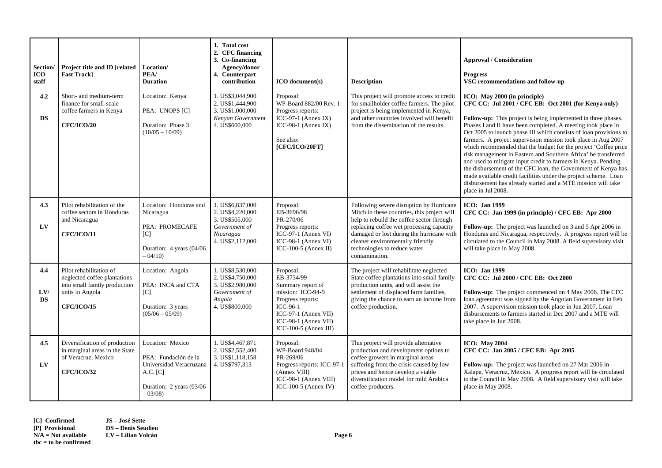| Section/<br><b>ICO</b><br>staff | Project title and ID [related<br><b>Fast Track]</b>                                                                             | Location/<br>PEA/<br><b>Duration</b>                                                                                    | 1. Total cost<br>2. CFC financing<br>3. Co-financing<br>Agency/donor<br>4. Counterpart<br>contribution   | <b>ICO</b> document(s)                                                                                                                                                        | <b>Description</b>                                                                                                                                                                                                                                                                                                  | <b>Approval / Consideration</b><br><b>Progress</b><br>VSC recommendations and follow-up                                                                                                                                                                                                                                                                                                                                                                                                                                                                                                                                                                                                                                                                                                             |
|---------------------------------|---------------------------------------------------------------------------------------------------------------------------------|-------------------------------------------------------------------------------------------------------------------------|----------------------------------------------------------------------------------------------------------|-------------------------------------------------------------------------------------------------------------------------------------------------------------------------------|---------------------------------------------------------------------------------------------------------------------------------------------------------------------------------------------------------------------------------------------------------------------------------------------------------------------|-----------------------------------------------------------------------------------------------------------------------------------------------------------------------------------------------------------------------------------------------------------------------------------------------------------------------------------------------------------------------------------------------------------------------------------------------------------------------------------------------------------------------------------------------------------------------------------------------------------------------------------------------------------------------------------------------------------------------------------------------------------------------------------------------------|
| 4.2<br><b>DS</b>                | Short- and medium-term<br>finance for small-scale<br>coffee farmers in Kenya<br><b>CFC/ICO/20</b>                               | Location: Kenya<br>PEA: UNOPS [C]<br>Duration: Phase 3:<br>$(10/05 - 10/09)$                                            | 1. US\$3,044,900<br>2. US\$1,444,900<br>3. US\$1,000,000<br>Kenyan Government<br>4. US\$600,000          | Proposal:<br>WP-Board 882/00 Rev. 1<br>Progress reports:<br>ICC-97-1 (Annex IX)<br>ICC-98-1 (Annex IX)<br>See also:<br>[CFC/ICO/20FT]                                         | This project will promote access to credit<br>for smallholder coffee farmers. The pilot<br>project is being implemented in Kenya,<br>and other countries involved will benefit<br>from the dissemination of the results.                                                                                            | ICO: May 2000 (in principle)<br>CFC CC: Jul 2001 / CFC EB: Oct 2001 (for Kenya only)<br><b>Follow-up:</b> This project is being implemented in three phases.<br>Phases I and II have been completed. A meeting took place in<br>Oct 2005 to launch phase III which consists of loan provisions to<br>farmers. A project supervision mission took place in Aug 2007<br>which recommended that the budget for the project 'Coffee price<br>risk management in Eastern and Southern Africa' be transferred<br>and used to mitigate input credit to farmers in Kenya. Pending<br>the disbursement of the CFC loan, the Government of Kenya has<br>made available credit facilities under the project scheme. Loan<br>disbursement has already started and a MTE mission will take<br>place in Jul 2008. |
| 4.3<br>LV                       | Pilot rehabilitation of the<br>coffee sectors in Honduras<br>and Nicaragua<br><b>CFC/ICO/11</b>                                 | Location: Honduras and<br>Nicaragua<br>PEA: PROMECAFE<br> C <br>Duration: 4 years (04/06<br>$-04/10$                    | 1. US\$6,837,000<br>2. US\$4,220,000<br>3. US\$505,000<br>Government of<br>Nicaragua<br>4. US\$2,112,000 | Proposal:<br>EB-3696/98<br>PR-270/06<br>Progress reports:<br>ICC-97-1 (Annex VI)<br>$ICC-98-1 (Annex VI)$<br>ICC-100-5 (Annex II)                                             | Following severe disruption by Hurricane<br>Mitch in these countries, this project will<br>help to rebuild the coffee sector through<br>replacing coffee wet processing capacity<br>damaged or lost during the hurricane with<br>cleaner environmentally friendly<br>technologies to reduce water<br>contamination. | <b>ICO</b> : Jan 1999<br>CFC CC: Jan 1999 (in principle) / CFC EB: Apr 2000<br>Follow-up: The project was launched on 3 and 5 Apr 2006 in<br>Honduras and Nicaragua, respectively. A progress report will be<br>circulated to the Council in May 2008. A field supervisory visit<br>will take place in May 2008.                                                                                                                                                                                                                                                                                                                                                                                                                                                                                    |
| 4.4<br>LVI<br><b>DS</b>         | Pilot rehabilitation of<br>neglected coffee plantations<br>into small family production<br>units in Angola<br><b>CFC/ICO/15</b> | Location: Angola<br>PEA: INCA and CTA<br> C <br>Duration: 3 years<br>$(05/06 - 05/09)$                                  | 1. US\$8,530,000<br>2. US\$4,750,000<br>3. US\$2,980,000<br>Government of<br>Angola<br>4. US\$800,000    | Proposal:<br>EB-3734/99<br>Summary report of<br>mission: ICC-94-9<br>Progress reports:<br>ICC-96-1<br>$ICC-97-1$ (Annex VII)<br>ICC-98-1 (Annex VII)<br>ICC-100-5 (Annex III) | The project will rehabilitate neglected<br>State coffee plantations into small family<br>production units, and will assist the<br>settlement of displaced farm families,<br>giving the chance to earn an income from<br>coffee production.                                                                          | <b>ICO</b> : Jan 1999<br>CFC CC: Jul 2000 / CFC EB: Oct 2000<br>Follow-up: The project commenced on 4 May 2006. The CFC<br>loan agreement was signed by the Angolan Government in Feb<br>2007. A supervision mission took place in Jun 2007. Loan<br>disbursements to farmers started in Dec 2007 and a MTE will<br>take place in Jun 2008.                                                                                                                                                                                                                                                                                                                                                                                                                                                         |
| 4.5<br>LV                       | Diversification of production<br>in marginal areas in the State<br>of Veracruz, Mexico<br><b>CFC/ICO/32</b>                     | Location: Mexico<br>PEA: Fundación de la<br>Universidad Veracruzana<br>A.C. [C]<br>Duration: 2 years (03/06<br>$-03/08$ | 1. US\$4,467,871<br>2. US\$2,552,400<br>3. US\$1,118,158<br>4. US\$797,313                               | Proposal:<br>WP-Board 948/04<br>PR-269/06<br>Progress reports: ICC-97-1<br>(Annex VIII)<br>ICC-98-1 (Annex VIII)<br>ICC-100-5 (Annex IV)                                      | This project will provide alternative<br>production and development options to<br>coffee growers in marginal areas<br>suffering from the crisis caused by low<br>prices and hence develop a viable<br>diversification model for mild Arabica<br>coffee producers.                                                   | <b>ICO:</b> May 2004<br>CFC CC: Jan 2005 / CFC EB: Apr 2005<br>Follow-up: The project was launched on 27 Mar 2006 in<br>Xalapa, Veracruz, Mexico. A progress report will be circulated<br>to the Council in May 2008. A field supervisory visit will take<br>place in May 2008.                                                                                                                                                                                                                                                                                                                                                                                                                                                                                                                     |

**[C] Confirmed JS – José Sette**

**DS – Denis Seudieu<br>LV – Lilian Volcán** 

**N/A = Not available LV – Lilian Volcán Page 6** 

**tbc = to be confirmed**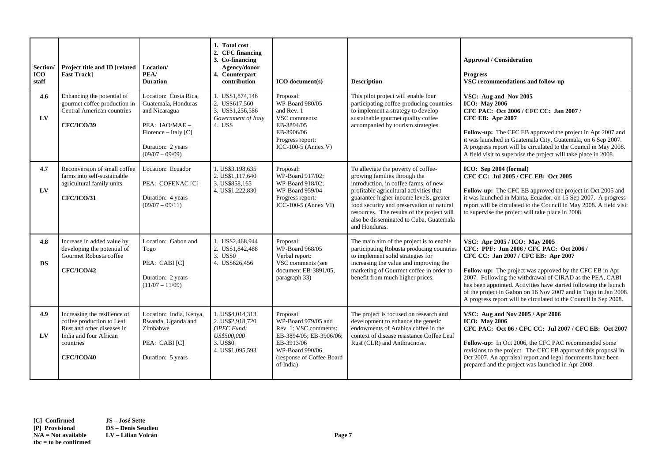| Section/<br>ICO<br>staff | Project title and ID [related<br><b>Fast Trackl</b>                                                                                                 | Location/<br>PEA/<br><b>Duration</b>                                                                                                              | 1. Total cost<br>2. CFC financing<br>3. Co-financing<br>Agency/donor<br>4. Counterpart<br>contribution   | <b>ICO</b> document(s)                                                                                                                                          | <b>Description</b>                                                                                                                                                                                                                                                                                                                                        | <b>Approval / Consideration</b><br><b>Progress</b><br>VSC recommendations and follow-up                                                                                                                                                                                                                                                                                                                                                             |
|--------------------------|-----------------------------------------------------------------------------------------------------------------------------------------------------|---------------------------------------------------------------------------------------------------------------------------------------------------|----------------------------------------------------------------------------------------------------------|-----------------------------------------------------------------------------------------------------------------------------------------------------------------|-----------------------------------------------------------------------------------------------------------------------------------------------------------------------------------------------------------------------------------------------------------------------------------------------------------------------------------------------------------|-----------------------------------------------------------------------------------------------------------------------------------------------------------------------------------------------------------------------------------------------------------------------------------------------------------------------------------------------------------------------------------------------------------------------------------------------------|
| 4.6<br>$L$ V             | Enhancing the potential of<br>gourmet coffee production in<br>Central American countries<br><b>CFC/ICO/39</b>                                       | Location: Costa Rica,<br>Guatemala, Honduras<br>and Nicaragua<br>PEA: IAO/MAE -<br>Florence - Italy [C]<br>Duration: 2 years<br>$(09/07 - 09/09)$ | 1. US\$1,874,146<br>2. US\$617,560<br>3. US\$1,256,586<br>Government of Italy<br>4. US\$                 | Proposal:<br>WP-Board 980/05<br>and Rev. 1<br>VSC comments:<br>EB-3894/05<br>EB-3906/06<br>Progress report:<br>ICC-100-5 (Annex V)                              | This pilot project will enable four<br>participating coffee-producing countries<br>to implement a strategy to develop<br>sustainable gourmet quality coffee<br>accompanied by tourism strategies.                                                                                                                                                         | VSC: Aug and Nov 2005<br><b>ICO: May 2006</b><br>CFC PAC: Oct 2006 / CFC CC: Jan 2007 /<br><b>CFC EB: Apr 2007</b><br>Follow-up: The CFC EB approved the project in Apr 2007 and<br>it was launched in Guatemala City, Guatemala, on 6 Sep 2007.<br>A progress report will be circulated to the Council in May 2008.<br>A field visit to supervise the project will take place in 2008.                                                             |
| 4.7<br>LV                | Reconversion of small coffee<br>farms into self-sustainable<br>agricultural family units<br><b>CFC/ICO/31</b>                                       | Location: Ecuador<br>PEA: COFENAC [C]<br>Duration: 4 years<br>$(09/07 - 09/11)$                                                                   | 1. US\$3,198,635<br>2. US\$1,117,640<br>3. US\$858,165<br>4. US\$1,222,830                               | Proposal:<br>WP-Board 917/02;<br>WP-Board 918/02;<br><b>WP-Board 959/04</b><br>Progress report:<br>ICC-100-5 (Annex VI)                                         | To alleviate the poverty of coffee-<br>growing families through the<br>introduction, in coffee farms, of new<br>profitable agricultural activities that<br>guarantee higher income levels, greater<br>food security and preservation of natural<br>resources. The results of the project will<br>also be disseminated to Cuba, Guatemala<br>and Honduras. | ICO: Sep 2004 (formal)<br>CFC CC: Jul 2005 / CFC EB: Oct 2005<br>Follow-up: The CFC EB approved the project in Oct 2005 and<br>it was launched in Manta, Ecuador, on 15 Sep 2007. A progress<br>report will be circulated to the Council in May 2008. A field visit<br>to supervise the project will take place in 2008.                                                                                                                            |
| 4.8<br><b>DS</b>         | Increase in added value by<br>developing the potential of<br>Gourmet Robusta coffee<br><b>CFC/ICO/42</b>                                            | Location: Gabon and<br>Togo<br>PEA: CABI [C]<br>Duration: 2 years<br>$(11/07 - 11/09)$                                                            | 1. US\$2,468,944<br>2. US\$1,842,488<br>3. US\$0<br>4. US\$626,456                                       | Proposal:<br>WP-Board 968/05<br>Verbal report:<br>VSC comments (see<br>document EB-3891/05,<br>paragraph 33)                                                    | The main aim of the project is to enable<br>participating Robusta producing countries<br>to implement solid strategies for<br>increasing the value and improving the<br>marketing of Gourmet coffee in order to<br>benefit from much higher prices.                                                                                                       | VSC: Apr 2005 / ICO: May 2005<br>CFC: PPF: Jun 2006 / CFC PAC: Oct 2006 /<br>CFC CC: Jan 2007 / CFC EB: Apr 2007<br>Follow-up: The project was approved by the CFC EB in Apr<br>2007. Following the withdrawal of CIRAD as the PEA, CABI<br>has been appointed. Activities have started following the launch<br>of the project in Gabon on 16 Nov 2007 and in Togo in Jan 2008.<br>A progress report will be circulated to the Council in Sep 2008. |
| 4.9<br>$L$ V             | Increasing the resilience of<br>coffee production to Leaf<br>Rust and other diseases in<br>India and four African<br>countries<br><b>CFC/ICO/40</b> | Location: India, Kenya,<br>Rwanda, Uganda and<br>Zimbabwe<br>PEA: CABI [C]<br>Duration: 5 years                                                   | 1. US\$4,014,313<br>2. US\$2,918,720<br><b>OPEC</b> Fund:<br>US\$500,000<br>3. US\$0<br>4. US\$1,095,593 | Proposal:<br>WP-Board 979/05 and<br>Rev. 1; VSC comments:<br>EB-3894/05; EB-3906/06;<br>EB-3913/06<br>WP-Board 990/06<br>(response of Coffee Board<br>of India) | The project is focused on research and<br>development to enhance the genetic<br>endowments of Arabica coffee in the<br>context of disease resistance Coffee Leaf<br>Rust (CLR) and Anthracnose.                                                                                                                                                           | VSC: Aug and Nov 2005 / Apr 2006<br><b>ICO: May 2006</b><br>CFC PAC: Oct 06 / CFC CC: Jul 2007 / CFC EB: Oct 2007<br>Follow-up: In Oct 2006, the CFC PAC recommended some<br>revisions to the project. The CFC EB approved this proposal in<br>Oct 2007. An appraisal report and legal documents have been<br>prepared and the project was launched in Apr 2008.                                                                                    |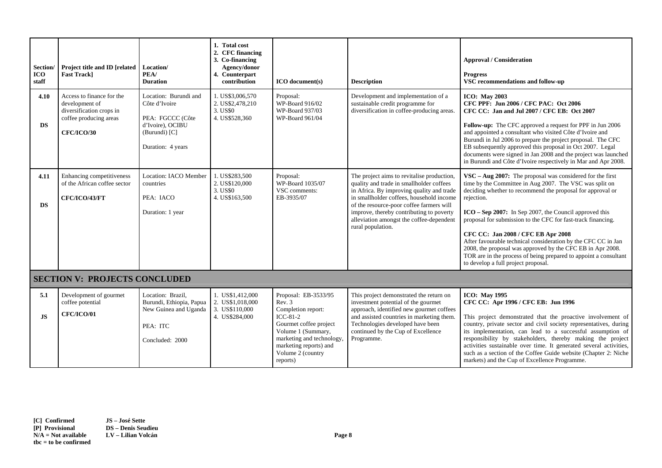| Section/<br>ICO<br>staff | <b>Project title and ID [related]</b><br><b>Fast Track]</b>                                                            | Location/<br>PEA/<br><b>Duration</b>                                                                                 | 1. Total cost<br>2. CFC financing<br>3. Co-financing<br>Agency/donor<br>4. Counterpart<br>contribution | <b>ICO</b> document(s)                                                                                                                                                                                     | <b>Description</b>                                                                                                                                                                                                                                                                                                                       | <b>Approval / Consideration</b><br><b>Progress</b><br>VSC recommendations and follow-up                                                                                                                                                                                                                                                                                                                                                                                                                                                                                                                      |
|--------------------------|------------------------------------------------------------------------------------------------------------------------|----------------------------------------------------------------------------------------------------------------------|--------------------------------------------------------------------------------------------------------|------------------------------------------------------------------------------------------------------------------------------------------------------------------------------------------------------------|------------------------------------------------------------------------------------------------------------------------------------------------------------------------------------------------------------------------------------------------------------------------------------------------------------------------------------------|--------------------------------------------------------------------------------------------------------------------------------------------------------------------------------------------------------------------------------------------------------------------------------------------------------------------------------------------------------------------------------------------------------------------------------------------------------------------------------------------------------------------------------------------------------------------------------------------------------------|
| 4.10<br><b>DS</b>        | Access to finance for the<br>development of<br>diversification crops in<br>coffee producing areas<br><b>CFC/ICO/30</b> | Location: Burundi and<br>Côte d'Ivoire<br>PEA: FGCCC (Côte<br>d'Ivoire), OCIBU<br>(Burundi) [C]<br>Duration: 4 years | 1. US\$3,006,570<br>2. US\$2,478,210<br>3. US\$0<br>4. US\$528,360                                     | Proposal:<br>WP-Board 916/02<br>WP-Board 937/03<br>WP-Board 961/04                                                                                                                                         | Development and implementation of a<br>sustainable credit programme for<br>diversification in coffee-producing areas.                                                                                                                                                                                                                    | <b>ICO:</b> May 2003<br>CFC PPF: Jun 2006 / CFC PAC: Oct 2006<br>CFC CC: Jan and Jul 2007 / CFC EB: Oct 2007<br>Follow-up: The CFC approved a request for PPF in Jun 2006<br>and appointed a consultant who visited Côte d'Ivoire and<br>Burundi in Jul 2006 to prepare the project proposal. The CFC<br>EB subsequently approved this proposal in Oct 2007. Legal<br>documents were signed in Jan 2008 and the project was launched<br>in Burundi and Côte d'Ivoire respectively in Mar and Apr 2008.                                                                                                       |
| 4.11<br><b>DS</b>        | Enhancing competitiveness<br>of the African coffee sector<br>CFC/ICO/43/FT                                             | Location: IACO Member<br>countries<br>PEA: IACO<br>Duration: 1 year                                                  | 1. US\$283,500<br>2. US\$120,000<br>3. US\$0<br>4. US\$163,500                                         | Proposal:<br>WP-Board 1035/07<br>VSC comments:<br>EB-3935/07                                                                                                                                               | The project aims to revitalise production,<br>quality and trade in smallholder coffees<br>in Africa. By improving quality and trade<br>in smallholder coffees, household income<br>of the resource-poor coffee farmers will<br>improve, thereby contributing to poverty<br>alleviation amongst the coffee-dependent<br>rural population. | VSC - Aug 2007: The proposal was considered for the first<br>time by the Committee in Aug 2007. The VSC was split on<br>deciding whether to recommend the proposal for approval or<br>rejection.<br>$ICO - Sep$ 2007: In Sep 2007, the Council approved this<br>proposal for submission to the CFC for fast-track financing.<br>CFC CC: Jan 2008 / CFC EB Apr 2008<br>After favourable technical consideration by the CFC CC in Jan<br>2008, the proposal was approved by the CFC EB in Apr 2008.<br>TOR are in the process of being prepared to appoint a consultant<br>to develop a full project proposal. |
|                          | <b>SECTION V: PROJECTS CONCLUDED</b>                                                                                   |                                                                                                                      |                                                                                                        |                                                                                                                                                                                                            |                                                                                                                                                                                                                                                                                                                                          |                                                                                                                                                                                                                                                                                                                                                                                                                                                                                                                                                                                                              |
| 5.1<br><b>JS</b>         | Development of gourmet<br>coffee potential<br><b>CFC/ICO/01</b>                                                        | Location: Brazil,<br>Burundi, Ethiopia, Papua<br>New Guinea and Uganda<br>PEA: ITC<br>Concluded: 2000                | 1. US\$1,412,000<br>2. US\$1,018,000<br>3. US\$110,000<br>4. US\$284,000                               | Proposal: EB-3533/95<br>Rev. 3<br>Completion report:<br>$ICC-81-2$<br>Gourmet coffee project<br>Volume 1 (Summary,<br>marketing and technology,<br>marketing reports) and<br>Volume 2 (country<br>reports) | This project demonstrated the return on<br>investment potential of the gourmet<br>approach, identified new gourmet coffees<br>and assisted countries in marketing them.<br>Technologies developed have been<br>continued by the Cup of Excellence<br>Programme.                                                                          | <b>ICO: May 1995</b><br>CFC CC: Apr 1996 / CFC EB: Jun 1996<br>This project demonstrated that the proactive involvement of<br>country, private sector and civil society representatives, during<br>its implementation, can lead to a successful assumption of<br>responsibility by stakeholders, thereby making the project<br>activities sustainable over time. It generated several activities,<br>such as a section of the Coffee Guide website (Chapter 2: Niche<br>markets) and the Cup of Excellence Programme.                                                                                        |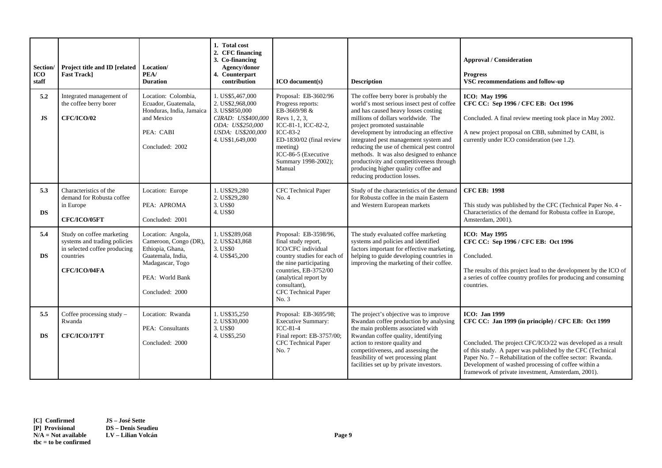| Section/<br><b>ICO</b><br>staff | Project title and ID [related<br><b>Fast Trackl</b>                                                                    | Location/<br>PEA/<br><b>Duration</b>                                                                                                          | 1. Total cost<br>2. CFC financing<br>3. Co-financing<br>Agency/donor<br>4. Counterpart<br>contribution                                    | <b>ICO</b> document(s)                                                                                                                                                                                                        | <b>Description</b>                                                                                                                                                                                                                                                                                                                                                                                                                                                                               | <b>Approval / Consideration</b><br><b>Progress</b><br>VSC recommendations and follow-up                                                                                                                                                                                                                                                                                             |
|---------------------------------|------------------------------------------------------------------------------------------------------------------------|-----------------------------------------------------------------------------------------------------------------------------------------------|-------------------------------------------------------------------------------------------------------------------------------------------|-------------------------------------------------------------------------------------------------------------------------------------------------------------------------------------------------------------------------------|--------------------------------------------------------------------------------------------------------------------------------------------------------------------------------------------------------------------------------------------------------------------------------------------------------------------------------------------------------------------------------------------------------------------------------------------------------------------------------------------------|-------------------------------------------------------------------------------------------------------------------------------------------------------------------------------------------------------------------------------------------------------------------------------------------------------------------------------------------------------------------------------------|
| 5.2<br><b>JS</b>                | Integrated management of<br>the coffee berry borer<br><b>CFC/ICO/02</b>                                                | Location: Colombia,<br>Ecuador, Guatemala,<br>Honduras, India, Jamaica<br>and Mexico<br>PEA: CABI<br>Concluded: 2002                          | 1. US\$5,467,000<br>2. US\$2,968,000<br>3. US\$850,000<br>CIRAD: US\$400,000<br>ODA: US\$250,000<br>USDA: US\$200,000<br>4. US\$1,649,000 | Proposal: EB-3602/96<br>Progress reports:<br>EB-3669/98 &<br>Revs 1, 2, 3,<br>ICC-81-1, ICC-82-2,<br>$ICC-83-2$<br>ED-1830/02 (final review<br>meeting)<br>ICC-86-5 (Executive<br>Summary 1998-2002);<br>Manual               | The coffee berry borer is probably the<br>world's most serious insect pest of coffee<br>and has caused heavy losses costing<br>millions of dollars worldwide. The<br>project promoted sustainable<br>development by introducing an effective<br>integrated pest management system and<br>reducing the use of chemical pest control<br>methods. It was also designed to enhance<br>productivity and competitiveness through<br>producing higher quality coffee and<br>reducing production losses. | <b>ICO:</b> May 1996<br>CFC CC: Sep 1996 / CFC EB: Oct 1996<br>Concluded. A final review meeting took place in May 2002.<br>A new project proposal on CBB, submitted by CABI, is<br>currently under ICO consideration (see 1.2).                                                                                                                                                    |
| 5.3<br><b>DS</b>                | Characteristics of the<br>demand for Robusta coffee<br>in Europe<br>CFC/ICO/05FT                                       | Location: Europe<br>PEA: APROMA<br>Concluded: 2001                                                                                            | 1. US\$29,280<br>2. US\$29,280<br>3. US\$0<br>4. US\$0                                                                                    | CFC Technical Paper<br>No. 4                                                                                                                                                                                                  | Study of the characteristics of the demand<br>for Robusta coffee in the main Eastern<br>and Western European markets                                                                                                                                                                                                                                                                                                                                                                             | <b>CFC EB: 1998</b><br>This study was published by the CFC (Technical Paper No. 4 -<br>Characteristics of the demand for Robusta coffee in Europe,<br>Amsterdam, 2001).                                                                                                                                                                                                             |
| 5.4<br><b>DS</b>                | Study on coffee marketing<br>systems and trading policies<br>in selected coffee producing<br>countries<br>CFC/ICO/04FA | Location: Angola,<br>Cameroon, Congo (DR),<br>Ethiopia, Ghana,<br>Guatemala, India,<br>Madagascar, Togo<br>PEA: World Bank<br>Concluded: 2000 | 1. US\$289,068<br>2. US\$243,868<br>3. US\$0<br>4. US\$45,200                                                                             | Proposal: EB-3598/96,<br>final study report,<br>ICO/CFC individual<br>country studies for each of<br>the nine participating<br>countries, EB-3752/00<br>(analytical report by<br>consultant),<br>CFC Technical Paper<br>No. 3 | The study evaluated coffee marketing<br>systems and policies and identified<br>factors important for effective marketing,<br>helping to guide developing countries in<br>improving the marketing of their coffee.                                                                                                                                                                                                                                                                                | <b>ICO: May 1995</b><br>CFC CC: Sep 1996 / CFC EB: Oct 1996<br>Concluded.<br>The results of this project lead to the development by the ICO of<br>a series of coffee country profiles for producing and consuming<br>countries.                                                                                                                                                     |
| 5.5<br><b>DS</b>                | Coffee processing study $-$<br>Rwanda<br>CFC/ICO/17FT                                                                  | Location: Rwanda<br>PEA: Consultants<br>Concluded: 2000                                                                                       | 1. US\$35,250<br>2. US\$30,000<br>3. US\$0<br>4. US\$5,250                                                                                | Proposal: EB-3695/98;<br><b>Executive Summary:</b><br>$ICC-81-4$<br>Final report: EB-3757/00;<br>CFC Technical Paper<br>No. 7                                                                                                 | The project's objective was to improve<br>Rwandan coffee production by analysing<br>the main problems associated with<br>Rwandan coffee quality, identifying<br>action to restore quality and<br>competitiveness, and assessing the<br>feasibility of wet processing plant<br>facilities set up by private investors.                                                                                                                                                                            | <b>ICO</b> : Jan 1999<br>CFC CC: Jan 1999 (in principle) / CFC EB: Oct 1999<br>Concluded. The project CFC/ICO/22 was developed as a result<br>of this study. A paper was published by the CFC (Technical<br>Paper No. 7 - Rehabilitation of the coffee sector: Rwanda.<br>Development of washed processing of coffee within a<br>framework of private investment, Amsterdam, 2001). |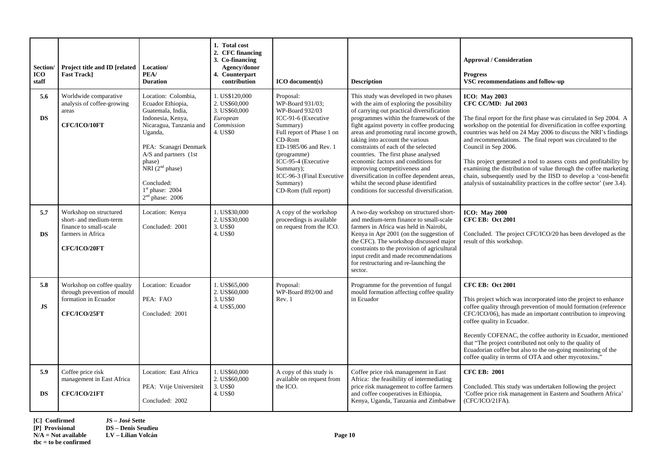| Section/<br><b>ICO</b><br>staff | Project title and ID [related]<br><b>Fast Trackl</b>                                                            | Location/<br>PEA/<br><b>Duration</b>                                                                                                                                                                                                                                | 1. Total cost<br>2. CFC financing<br>3. Co-financing<br>Agency/donor<br>4. Counterpart<br>contribution | <b>ICO</b> document(s)                                                                                                                                                                                                                                                         | <b>Description</b>                                                                                                                                                                                                                                                                                                                                                                                                                                                                                                                                                                             | <b>Approval / Consideration</b><br><b>Progress</b><br>VSC recommendations and follow-up                                                                                                                                                                                                                                                                                                                                                                                                                                                                                                                                                |
|---------------------------------|-----------------------------------------------------------------------------------------------------------------|---------------------------------------------------------------------------------------------------------------------------------------------------------------------------------------------------------------------------------------------------------------------|--------------------------------------------------------------------------------------------------------|--------------------------------------------------------------------------------------------------------------------------------------------------------------------------------------------------------------------------------------------------------------------------------|------------------------------------------------------------------------------------------------------------------------------------------------------------------------------------------------------------------------------------------------------------------------------------------------------------------------------------------------------------------------------------------------------------------------------------------------------------------------------------------------------------------------------------------------------------------------------------------------|----------------------------------------------------------------------------------------------------------------------------------------------------------------------------------------------------------------------------------------------------------------------------------------------------------------------------------------------------------------------------------------------------------------------------------------------------------------------------------------------------------------------------------------------------------------------------------------------------------------------------------------|
| 5.6<br><b>DS</b>                | Worldwide comparative<br>analysis of coffee-growing<br>areas<br>CFC/ICO/10FT                                    | Location: Colombia,<br>Ecuador Ethiopia,<br>Guatemala, India,<br>Indonesia, Kenya,<br>Nicaragua, Tanzania and<br>Uganda,<br>PEA: Scanagri Denmark<br>$A/S$ and partners (1st<br>phase)<br>NRI $(2nd phase)$<br>Concluded:<br>$1st$ phase: 2004<br>$2nd$ phase: 2006 | 1. US\$120,000<br>2. US\$60,000<br>3. US\$60,000<br>European<br>Commission<br>4. US\$0                 | Proposal:<br>WP-Board 931/03;<br><b>WP-Board 932/03</b><br>ICC-91-6 (Executive<br>Summary)<br>Full report of Phase 1 on<br>CD-Rom<br>ED-1985/06 and Rev. 1<br>(programme)<br>ICC-95-4 (Executive<br>Summary);<br>ICC-96-3 (Final Executive<br>Summary)<br>CD-Rom (full report) | This study was developed in two phases<br>with the aim of exploring the possibility<br>of carrying out practical diversification<br>programmes within the framework of the<br>fight against poverty in coffee producing<br>areas and promoting rural income growth,<br>taking into account the various<br>constraints of each of the selected<br>countries. The first phase analysed<br>economic factors and conditions for<br>improving competitiveness and<br>diversification in coffee dependent areas,<br>whilst the second phase identified<br>conditions for successful diversification. | <b>ICO: May 2003</b><br>CFC CC/MD: Jul 2003<br>The final report for the first phase was circulated in Sep 2004. A<br>workshop on the potential for diversification in coffee exporting<br>countries was held on 24 May 2006 to discuss the NRI's findings<br>and recommendations. The final report was circulated to the<br>Council in Sep 2006.<br>This project generated a tool to assess costs and profitability by<br>examining the distribution of value through the coffee marketing<br>chain, subsequently used by the IISD to develop a 'cost-benefit<br>analysis of sustainability practices in the coffee sector' (see 3.4). |
| 5.7<br><b>DS</b>                | Workshop on structured<br>short- and medium-term<br>finance to small-scale<br>farmers in Africa<br>CFC/ICO/20FT | Location: Kenya<br>Concluded: 2001                                                                                                                                                                                                                                  | 1. US\$30,000<br>2. US\$30,000<br>3. US\$0<br>4. US\$0                                                 | A copy of the workshop<br>proceedings is available<br>on request from the ICO.                                                                                                                                                                                                 | A two-day workshop on structured short-<br>and medium-term finance to small-scale<br>farmers in Africa was held in Nairobi,<br>Kenya in Apr 2001 (on the suggestion of<br>the CFC). The workshop discussed major<br>constraints to the provision of agricultural<br>input credit and made recommendations<br>for restructuring and re-launching the<br>sector.                                                                                                                                                                                                                                 | <b>ICO: May 2000</b><br><b>CFC EB: Oct 2001</b><br>Concluded. The project CFC/ICO/20 has been developed as the<br>result of this workshop.                                                                                                                                                                                                                                                                                                                                                                                                                                                                                             |
| 5.8<br>JS                       | Workshop on coffee quality<br>through prevention of mould<br>formation in Ecuador<br>CFC/ICO/25FT               | Location: Ecuador<br>PEA: FAO<br>Concluded: 2001                                                                                                                                                                                                                    | 1. US\$65,000<br>2. US\$60,000<br>3. US\$0<br>4. US\$5,000                                             | Proposal:<br>WP-Board 892/00 and<br>Rev. 1                                                                                                                                                                                                                                     | Programme for the prevention of fungal<br>mould formation affecting coffee quality<br>in Ecuador                                                                                                                                                                                                                                                                                                                                                                                                                                                                                               | <b>CFC EB: Oct 2001</b><br>This project which was incorporated into the project to enhance<br>coffee quality through prevention of mould formation (reference<br>CFC/ICO/06), has made an important contribution to improving<br>coffee quality in Ecuador.<br>Recently COFENAC, the coffee authority in Ecuador, mentioned<br>that "The project contributed not only to the quality of<br>Ecuadorian coffee but also to the on-going monitoring of the<br>coffee quality in terms of OTA and other mycotoxins."                                                                                                                       |
| 5.9<br><b>DS</b>                | Coffee price risk<br>management in East Africa<br>CFC/ICO/21FT                                                  | Location: East Africa<br>PEA: Vrije Universiteit<br>Concluded: 2002                                                                                                                                                                                                 | 1. US\$60,000<br>2. US\$60,000<br>3. US\$0<br>4. US\$0                                                 | A copy of this study is<br>available on request from<br>the ICO.                                                                                                                                                                                                               | Coffee price risk management in East<br>Africa: the feasibility of intermediating<br>price risk management to coffee farmers<br>and coffee cooperatives in Ethiopia,<br>Kenya, Uganda, Tanzania and Zimbabwe                                                                                                                                                                                                                                                                                                                                                                                   | <b>CFC EB: 2001</b><br>Concluded. This study was undertaken following the project<br>'Coffee price risk management in Eastern and Southern Africa'<br>(CFC/ICO/21FA).                                                                                                                                                                                                                                                                                                                                                                                                                                                                  |

**[C] Confirmed JS – José Sette [P] Provisional DS – Denis Seudieu** 

**tbc = to be confirmed**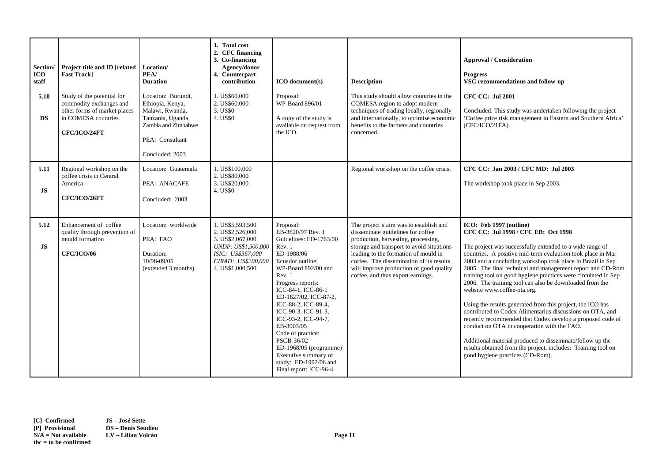| Section/<br>ICO<br>staff | Project title and ID [related<br><b>Fast Track]</b>                                                                          | Location/<br>PEA/<br><b>Duration</b>                                                                                                        | 1. Total cost<br>2. CFC financing<br>3. Co-financing<br>Agency/donor<br>4. Counterpart<br>contribution                                                | <b>ICO</b> document(s)                                                                                                                                                                                                                                                                                                                                                                                                               | <b>Description</b>                                                                                                                                                                                                                                                                                                                  | <b>Approval / Consideration</b><br><b>Progress</b><br>VSC recommendations and follow-up                                                                                                                                                                                                                                                                                                                                                                                                                                                                                                                                                                                                                                                                                                                                                                                                     |
|--------------------------|------------------------------------------------------------------------------------------------------------------------------|---------------------------------------------------------------------------------------------------------------------------------------------|-------------------------------------------------------------------------------------------------------------------------------------------------------|--------------------------------------------------------------------------------------------------------------------------------------------------------------------------------------------------------------------------------------------------------------------------------------------------------------------------------------------------------------------------------------------------------------------------------------|-------------------------------------------------------------------------------------------------------------------------------------------------------------------------------------------------------------------------------------------------------------------------------------------------------------------------------------|---------------------------------------------------------------------------------------------------------------------------------------------------------------------------------------------------------------------------------------------------------------------------------------------------------------------------------------------------------------------------------------------------------------------------------------------------------------------------------------------------------------------------------------------------------------------------------------------------------------------------------------------------------------------------------------------------------------------------------------------------------------------------------------------------------------------------------------------------------------------------------------------|
| 5.10<br><b>DS</b>        | Study of the potential for<br>commodity exchanges and<br>other forms of market places<br>in COMESA countries<br>CFC/ICO/24FT | Location: Burundi,<br>Ethiopia, Kenya,<br>Malawi, Rwanda,<br>Tanzania, Uganda,<br>Zambia and Zimbabwe<br>PEA: Consultant<br>Concluded: 2003 | 1. US\$60,000<br>2. US\$60,000<br>3. US\$0<br>4. US\$0                                                                                                | Proposal:<br>WP-Board 896/01<br>A copy of the study is<br>available on request from<br>the ICO.                                                                                                                                                                                                                                                                                                                                      | This study should allow countries in the<br>COMESA region to adopt modern<br>techniques of trading locally, regionally<br>and internationally, to optimise economic<br>benefits to the farmers and countries<br>concerned.                                                                                                          | <b>CFC CC: Jul 2001</b><br>Concluded. This study was undertaken following the project<br>'Coffee price risk management in Eastern and Southern Africa'<br>(CFC/ICO/21FA).                                                                                                                                                                                                                                                                                                                                                                                                                                                                                                                                                                                                                                                                                                                   |
| 5.11<br><b>JS</b>        | Regional workshop on the<br>coffee crisis in Central<br>America<br>CFC/ICO/26FT                                              | Location: Guatemala<br>PEA: ANACAFE<br>Concluded: 2003                                                                                      | 1. US\$100,000<br>2. US\$80,000<br>3. US\$20,000<br>4. US\$0                                                                                          |                                                                                                                                                                                                                                                                                                                                                                                                                                      | Regional workshop on the coffee crisis.                                                                                                                                                                                                                                                                                             | CFC CC: Jan 2003 / CFC MD: Jul 2003<br>The workshop took place in Sep 2003.                                                                                                                                                                                                                                                                                                                                                                                                                                                                                                                                                                                                                                                                                                                                                                                                                 |
| 5.12<br>JS               | Enhancement of coffee<br>quality through prevention of<br>mould formation<br><b>CFC/ICO/06</b>                               | Location: worldwide<br>PEA: FAO<br>Duration:<br>10/98-09/05<br>(extended 3 months)                                                          | 1. US\$5,593,500<br>2. US\$2,526,000<br>3. US\$2,067,000<br><b>UNDP: US\$1,500,000</b><br>ISIC: US\$367,000<br>CIRAD: US\$200,000<br>4. US\$1,000,500 | Proposal:<br>EB-3620/97 Rev. 1<br>Guidelines: ED-1763/00<br>Rev. 1<br>ED-1988/06<br>Ecuador outline:<br>WP-Board 892/00 and<br>Rev. 1<br>Progress reports:<br>ICC-84-1, ICC-86-1<br>ED-1827/02, ICC-87-2,<br>ICC-88-2, ICC-89-4,<br>ICC-90-3, ICC-91-3,<br>ICC-93-2, ICC-94-7,<br>EB-3903/05<br>Code of practice:<br>PSCB-36/02<br>ED-1968/05 (programme)<br>Executive summary of<br>study: ED-1992/06 and<br>Final report: ICC-96-4 | The project's aim was to establish and<br>disseminate guidelines for coffee<br>production, harvesting, processing,<br>storage and transport to avoid situations<br>leading to the formation of mould in<br>coffee. The dissemination of its results<br>will improve production of good quality<br>coffee, and thus export earnings. | ICO: Feb 1997 (outline)<br>CFC CC: Jul 1998 / CFC EB: Oct 1998<br>The project was successfully extended to a wide range of<br>countries. A positive mid-term evaluation took place in Mar<br>2003 and a concluding workshop took place in Brazil in Sep<br>2005. The final technical and management report and CD-Rom<br>training tool on good hygiene practices were circulated in Sep<br>2006. The training tool can also be downloaded from the<br>website www.coffee-ota.org.<br>Using the results generated from this project, the ICO has<br>contributed to Codex Alimentarius discussions on OTA, and<br>recently recommended that Codex develop a proposed code of<br>conduct on OTA in cooperation with the FAO.<br>Additional material produced to disseminate/follow up the<br>results obtained from the project, includes: Training tool on<br>good hygiene practices (CD-Rom). |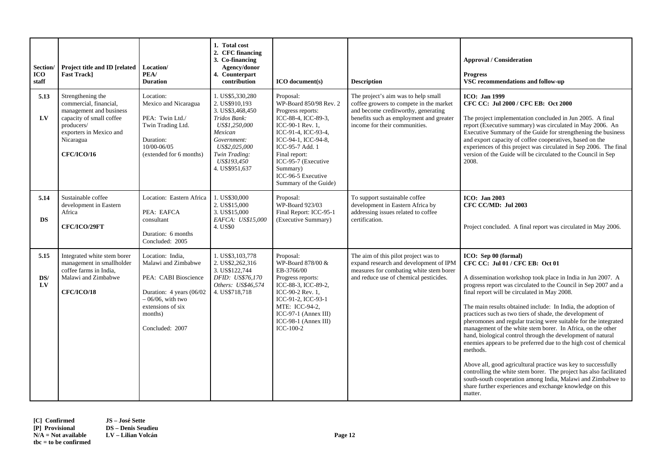| Section/<br><b>ICO</b><br>staff | Project title and ID [related<br><b>Fast Trackl</b>                                                                                                                           | Location/<br>PEA/<br><b>Duration</b>                                                                                                                                  | 1. Total cost<br>2. CFC financing<br>3. Co-financing<br>Agency/donor<br>4. Counterpart<br>contribution                                                                               | <b>ICO</b> document(s)                                                                                                                                                                                                                                                  | <b>Description</b>                                                                                                                                                                                | <b>Approval / Consideration</b><br><b>Progress</b><br>VSC recommendations and follow-up                                                                                                                                                                                                                                                                                                                                                                                                                                                                                                                                                                                                                                                                                                                                                                                                                                             |
|---------------------------------|-------------------------------------------------------------------------------------------------------------------------------------------------------------------------------|-----------------------------------------------------------------------------------------------------------------------------------------------------------------------|--------------------------------------------------------------------------------------------------------------------------------------------------------------------------------------|-------------------------------------------------------------------------------------------------------------------------------------------------------------------------------------------------------------------------------------------------------------------------|---------------------------------------------------------------------------------------------------------------------------------------------------------------------------------------------------|-------------------------------------------------------------------------------------------------------------------------------------------------------------------------------------------------------------------------------------------------------------------------------------------------------------------------------------------------------------------------------------------------------------------------------------------------------------------------------------------------------------------------------------------------------------------------------------------------------------------------------------------------------------------------------------------------------------------------------------------------------------------------------------------------------------------------------------------------------------------------------------------------------------------------------------|
| 5.13<br>LV                      | Strengthening the<br>commercial, financial,<br>management and business<br>capacity of small coffee<br>producers/<br>exporters in Mexico and<br>Nicaragua<br><b>CFC/ICO/16</b> | Location:<br>Mexico and Nicaragua<br>PEA: Twin Ltd./<br>Twin Trading Ltd.<br>Duration:<br>10/00-06/05<br>(extended for 6 months)                                      | 1. US\$5,330,280<br>2. US\$910,193<br>3. US\$3,468,450<br>Tridos Bank:<br>US\$1,250,000<br>Mexican<br>Government:<br>US\$2,025,000<br>Twin Trading:<br>US\$193.450<br>4. US\$951,637 | Proposal:<br>WP-Board 850/98 Rev. 2<br>Progress reports:<br>ICC-88-4, ICC-89-3,<br>ICC-90-1 Rev. 1.<br>ICC-91-4, ICC-93-4,<br>ICC-94-1, ICC-94-8,<br>ICC-95-7 Add. 1<br>Final report:<br>ICC-95-7 (Executive<br>Summary)<br>ICC-96-5 Executive<br>Summary of the Guide) | The project's aim was to help small<br>coffee growers to compete in the market<br>and become creditworthy, generating<br>benefits such as employment and greater<br>income for their communities. | <b>ICO</b> : Jan 1999<br>CFC CC: Jul 2000 / CFC EB: Oct 2000<br>The project implementation concluded in Jun 2005. A final<br>report (Executive summary) was circulated in May 2006. An<br>Executive Summary of the Guide for strengthening the business<br>and export capacity of coffee cooperatives, based on the<br>experiences of this project was circulated in Sep 2006. The final<br>version of the Guide will be circulated to the Council in Sep<br>2008.                                                                                                                                                                                                                                                                                                                                                                                                                                                                  |
| 5.14<br><b>DS</b>               | Sustainable coffee<br>development in Eastern<br>Africa<br>CFC/ICO/29FT                                                                                                        | Location: Eastern Africa<br>PEA: EAFCA<br>consultant<br>Duration: 6 months<br>Concluded: 2005                                                                         | 1. US\$30,000<br>2. US\$15,000<br>3. US\$15,000<br>EAFCA: US\$15,000<br>4. US\$0                                                                                                     | Proposal:<br>WP-Board 923/03<br>Final Report: ICC-95-1<br>(Executive Summary)                                                                                                                                                                                           | To support sustainable coffee<br>development in Eastern Africa by<br>addressing issues related to coffee<br>certification.                                                                        | <b>ICO</b> : Jan 2003<br>CFC CC/MD: Jul 2003<br>Project concluded. A final report was circulated in May 2006.                                                                                                                                                                                                                                                                                                                                                                                                                                                                                                                                                                                                                                                                                                                                                                                                                       |
| 5.15<br>DS/<br>LV               | Integrated white stem borer<br>management in smallholder<br>coffee farms in India,<br>Malawi and Zimbabwe<br><b>CFC/ICO/18</b>                                                | Location: India.<br>Malawi and Zimbabwe<br>PEA: CABI Bioscience<br>Duration: 4 years (06/02<br>$-06/06$ , with two<br>extensions of six<br>months)<br>Concluded: 2007 | 1. US\$3,103,778<br>2. US\$2,262,316<br>3. US\$122,744<br>DFID: US\$76,170<br>Others: US\$46,574<br>4. US\$718,718                                                                   | Proposal:<br>WP-Board 878/00 &<br>EB-3766/00<br>Progress reports:<br>ICC-88-3, ICC-89-2,<br>ICC-90-2 Rev. 1,<br>ICC-91-2, ICC-93-1<br>MTE: ICC-94-2,<br>$ICC-97-1$ (Annex III)<br>$ICC-98-1 (Annex III)$<br>ICC- $100-2$                                                | The aim of this pilot project was to<br>expand research and development of IPM<br>measures for combating white stem borer<br>and reduce use of chemical pesticides.                               | ICO: Sep 00 (formal)<br>CFC CC: Jul 01 / CFC EB: Oct 01<br>A dissemination workshop took place in India in Jun 2007. A<br>progress report was circulated to the Council in Sep 2007 and a<br>final report will be circulated in May 2008.<br>The main results obtained include: In India, the adoption of<br>practices such as two tiers of shade, the development of<br>pheromones and regular tracing were suitable for the integrated<br>management of the white stem borer. In Africa, on the other<br>hand, biological control through the development of natural<br>enemies appears to be preferred due to the high cost of chemical<br>methods.<br>Above all, good agricultural practice was key to successfully<br>controlling the white stem borer. The project has also facilitated<br>south-south cooperation among India, Malawi and Zimbabwe to<br>share further experiences and exchange knowledge on this<br>matter. |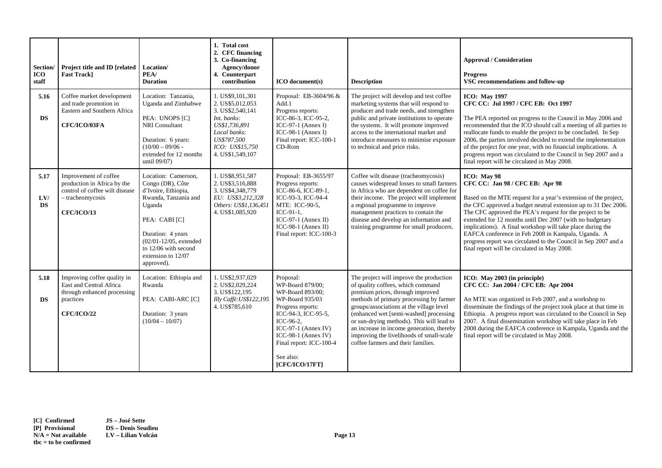| Section/<br><b>ICO</b><br>staff | Project title and ID [related<br><b>Fast Trackl</b>                                                                      | Location/<br>PEA/<br><b>Duration</b>                                                                                                                                                                                             | 1. Total cost<br>2. CFC financing<br>3. Co-financing<br>Agency/donor<br>4. Counterpart<br>contribution                                                         | <b>ICO</b> document(s)                                                                                                                                                                                                                  | <b>Description</b>                                                                                                                                                                                                                                                                                                                                                                                                            | <b>Approval / Consideration</b><br><b>Progress</b><br>VSC recommendations and follow-up                                                                                                                                                                                                                                                                                                                                                                                                                                                            |
|---------------------------------|--------------------------------------------------------------------------------------------------------------------------|----------------------------------------------------------------------------------------------------------------------------------------------------------------------------------------------------------------------------------|----------------------------------------------------------------------------------------------------------------------------------------------------------------|-----------------------------------------------------------------------------------------------------------------------------------------------------------------------------------------------------------------------------------------|-------------------------------------------------------------------------------------------------------------------------------------------------------------------------------------------------------------------------------------------------------------------------------------------------------------------------------------------------------------------------------------------------------------------------------|----------------------------------------------------------------------------------------------------------------------------------------------------------------------------------------------------------------------------------------------------------------------------------------------------------------------------------------------------------------------------------------------------------------------------------------------------------------------------------------------------------------------------------------------------|
| 5.16<br><b>DS</b>               | Coffee market development<br>and trade promotion in<br>Eastern and Southern Africa<br>CFC/ICO/03FA                       | Location: Tanzania,<br>Uganda and Zimbabwe<br>PEA: UNOPS [C]<br>NRI Consultant<br>Duration: 6 years:<br>$(10/00 - 09/06 -$<br>extended for 12 months<br>until $09/07$ )                                                          | 1. US\$9,101,301<br>2. US\$5,012,053<br>3. US\$2,540,141<br>Int. banks:<br>US\$1,736,891<br>Local banks:<br>US\$787,500<br>ICO: US\$15,750<br>4. US\$1,549,107 | Proposal: EB-3604/96 &<br>Add.1<br>Progress reports:<br>ICC-86-3, ICC-95-2,<br>ICC-97-1 (Annex I)<br>ICC-98-1 (Annex I)<br>Final report: ICC-100-1<br>CD-Rom                                                                            | The project will develop and test coffee<br>marketing systems that will respond to<br>producer and trade needs, and strengthen<br>public and private institutions to operate<br>the systems. It will promote improved<br>access to the international market and<br>introduce measures to minimise exposure<br>to technical and price risks.                                                                                   | <b>ICO: May 1997</b><br>CFC CC: Jul 1997 / CFC EB: Oct 1997<br>The PEA reported on progress to the Council in May 2006 and<br>recommended that the ICO should call a meeting of all parties to<br>reallocate funds to enable the project to be concluded. In Sep<br>2006, the parties involved decided to extend the implementation<br>of the project for one year, with no financial implications. A<br>progress report was circulated to the Council in Sep 2007 and a<br>final report will be circulated in May 2008.                           |
| 5.17<br>LVI<br><b>DS</b>        | Improvement of coffee<br>production in Africa by the<br>control of coffee wilt disease<br>- tracheomycosis<br>CFC/ICO/13 | Location: Cameroon,<br>Congo (DR), Côte<br>d'Ivoire, Ethiopia,<br>Rwanda, Tanzania and<br>Uganda<br>PEA: CABI [C]<br>Duration: 4 years<br>$(02/01 - 12/05,$ extended<br>to 12/06 with second<br>extension to 12/07<br>approved). | 1. US\$8,951,587<br>2. US\$3,516,888<br>3. US\$4,348,779<br>EU: US\$3,212,328<br>Others: US\$1,136,451<br>4. US\$1,085,920                                     | Proposal: EB-3655/97<br>Progress reports:<br>ICC-86-6, ICC-89-1.<br>ICC-93-3, ICC-94-4<br>MTE: ICC-90-5,<br>$ICC-91-1$ .<br>ICC-97-1 (Annex II)<br>ICC-98-1 (Annex II)<br>Final report: ICC-100-3                                       | Coffee wilt disease (tracheomycosis)<br>causes widespread losses to small farmers<br>in Africa who are dependent on coffee for<br>their income. The project will implement<br>a regional programme to improve<br>management practices to contain the<br>disease and develop an information and<br>training programme for small producers.                                                                                     | ICO: May 98<br>CFC CC: Jan 98 / CFC EB: Apr 98<br>Based on the MTE request for a year's extension of the project,<br>the CFC approved a budget neutral extension up to 31 Dec 2006.<br>The CFC approved the PEA's request for the project to be<br>extended for 12 months until Dec 2007 (with no budgetary<br>implications). A final workshop will take place during the<br>EAFCA conference in Feb 2008 in Kampala, Uganda. A<br>progress report was circulated to the Council in Sep 2007 and a<br>final report will be circulated in May 2008. |
| 5.18<br>DS.                     | Improving coffee quality in<br>East and Central Africa<br>through enhanced processing<br>practices<br>CFC/ICO/22         | Location: Ethiopia and<br>Rwanda<br>PEA: CABI-ARC [C]<br>Duration: 3 years<br>$(10/04 - 10/07)$                                                                                                                                  | 1. US\$2,937,029<br>2. US\$2,029,224<br>3. US\$122,195<br>Illy Caffè: US\$122,195<br>4. US\$785,610                                                            | Proposal:<br>WP-Board 879/00;<br>WP-Board 893/00;<br>WP-Board 935/03<br>Progress reports:<br>ICC-94-3, ICC-95-5,<br>ICC-96-2.<br>ICC-97-1 (Annex IV)<br>$ICC-98-1 (Annex IV)$<br>Final report: ICC-100-4<br>See also:<br>[CFC/ICO/17FT] | The project will improve the production<br>of quality coffees, which command<br>premium prices, through improved<br>methods of primary processing by farmer<br>groups/associations at the village level<br>(enhanced wet [semi-washed] processing<br>or sun-drying methods). This will lead to<br>an increase in income generation, thereby<br>improving the livelihoods of small-scale<br>coffee farmers and their families. | ICO: May 2003 (in principle)<br>CFC CC: Jan 2004 / CFC EB: Apr 2004<br>An MTE was organized in Feb 2007, and a workshop to<br>disseminate the findings of the project took place at that time in<br>Ethiopia. A progress report was circulated to the Council in Sep<br>2007. A final dissemination workshop will take place in Feb<br>2008 during the EAFCA conference in Kampala, Uganda and the<br>final report will be circulated in May 2008.                                                                                                 |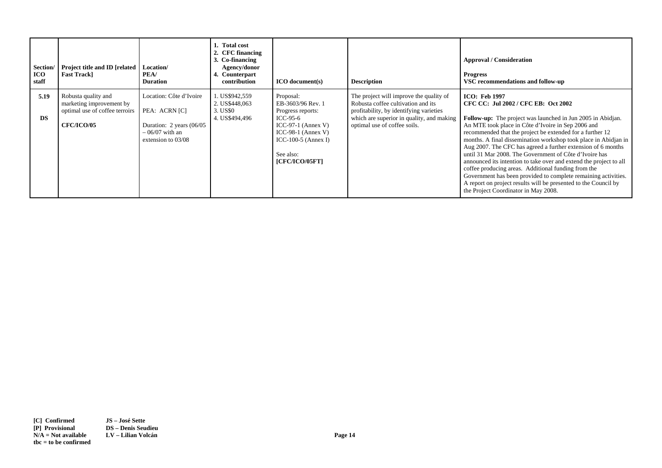| Section/<br><b>ICO</b><br>staff | <b>Project title and ID [related]</b><br><b>Fast Track</b>                                             | Location/<br>PEA/<br><b>Duration</b>                                                                           | 1. Total cost<br>2. CFC financing<br>3. Co-financing<br>Agency/donor<br>4. Counterpart<br>contribution | ICO document(s)                                                                                                                                                   | <b>Description</b>                                                                                                                                                                                    | <b>Approval / Consideration</b><br><b>Progress</b><br>VSC recommendations and follow-up                                                                                                                                                                                                                                                                                                                                                                                                                                                                                                                                                                                                                                                                     |
|---------------------------------|--------------------------------------------------------------------------------------------------------|----------------------------------------------------------------------------------------------------------------|--------------------------------------------------------------------------------------------------------|-------------------------------------------------------------------------------------------------------------------------------------------------------------------|-------------------------------------------------------------------------------------------------------------------------------------------------------------------------------------------------------|-------------------------------------------------------------------------------------------------------------------------------------------------------------------------------------------------------------------------------------------------------------------------------------------------------------------------------------------------------------------------------------------------------------------------------------------------------------------------------------------------------------------------------------------------------------------------------------------------------------------------------------------------------------------------------------------------------------------------------------------------------------|
| 5.19<br><b>DS</b>               | Robusta quality and<br>marketing improvement by<br>optimal use of coffee terroirs<br><b>CFC/ICO/05</b> | Location: Côte d'Ivoire<br>PEA: ACRN [C]<br>Duration: 2 years (06/05)<br>- 06/07 with an<br>extension to 03/08 | 1. US\$942.559<br>2. US\$448,063<br>3. US\$0<br>4. US\$494,496                                         | Proposal:<br>EB-3603/96 Rev. 1<br>Progress reports:<br>ICC-95-6<br>ICC-97-1 (Annex V)<br>ICC-98-1 (Annex V)<br>ICC-100-5 (Annex I)<br>See also:<br>[CFC/ICO/05FT] | The project will improve the quality of<br>Robusta coffee cultivation and its<br>profitability, by identifying varieties<br>which are superior in quality, and making<br>optimal use of coffee soils. | <b>ICO: Feb 1997</b><br>CFC CC: Jul 2002 / CFC EB: Oct 2002<br><b>Follow-up:</b> The project was launched in Jun 2005 in Abidjan.<br>An MTE took place in Côte d'Ivoire in Sep 2006 and<br>recommended that the project be extended for a further 12<br>months. A final dissemination workshop took place in Abidjan in<br>Aug 2007. The CFC has agreed a further extension of 6 months<br>until 31 Mar 2008. The Government of Côte d'Ivoire has<br>announced its intention to take over and extend the project to all<br>coffee producing areas. Additional funding from the<br>Government has been provided to complete remaining activities.<br>A report on project results will be presented to the Council by<br>the Project Coordinator in May 2008. |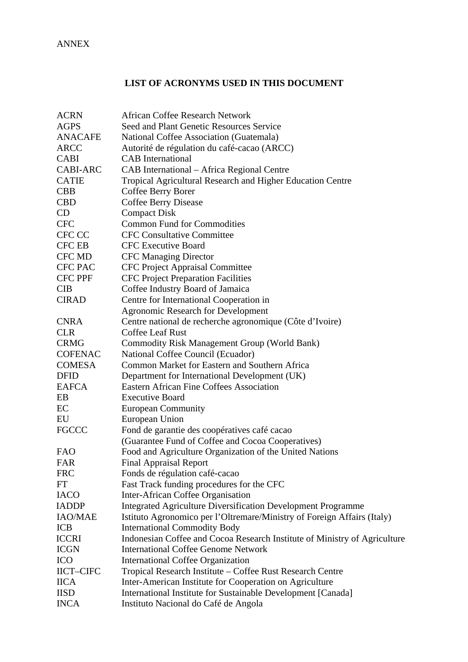## **LIST OF ACRONYMS USED IN THIS DOCUMENT**

| <b>ACRN</b>      | <b>African Coffee Research Network</b>                                    |
|------------------|---------------------------------------------------------------------------|
| <b>AGPS</b>      | Seed and Plant Genetic Resources Service                                  |
| <b>ANACAFE</b>   | National Coffee Association (Guatemala)                                   |
| <b>ARCC</b>      | Autorité de régulation du café-cacao (ARCC)                               |
| <b>CABI</b>      | <b>CAB</b> International                                                  |
| <b>CABI-ARC</b>  | CAB International – Africa Regional Centre                                |
| <b>CATIE</b>     | Tropical Agricultural Research and Higher Education Centre                |
| <b>CBB</b>       | Coffee Berry Borer                                                        |
| <b>CBD</b>       | <b>Coffee Berry Disease</b>                                               |
| CD               | <b>Compact Disk</b>                                                       |
| <b>CFC</b>       | <b>Common Fund for Commodities</b>                                        |
| CFC CC           | <b>CFC Consultative Committee</b>                                         |
| <b>CFC EB</b>    | <b>CFC</b> Executive Board                                                |
| CFC MD           | <b>CFC Managing Director</b>                                              |
| <b>CFC PAC</b>   | <b>CFC Project Appraisal Committee</b>                                    |
| <b>CFC PPF</b>   | <b>CFC Project Preparation Facilities</b>                                 |
| <b>CIB</b>       | Coffee Industry Board of Jamaica                                          |
| <b>CIRAD</b>     | Centre for International Cooperation in                                   |
|                  | <b>Agronomic Research for Development</b>                                 |
| <b>CNRA</b>      | Centre national de recherche agronomique (Côte d'Ivoire)                  |
| <b>CLR</b>       | <b>Coffee Leaf Rust</b>                                                   |
| <b>CRMG</b>      | Commodity Risk Management Group (World Bank)                              |
| <b>COFENAC</b>   | National Coffee Council (Ecuador)                                         |
| <b>COMESA</b>    | Common Market for Eastern and Southern Africa                             |
| <b>DFID</b>      | Department for International Development (UK)                             |
| <b>EAFCA</b>     | Eastern African Fine Coffees Association                                  |
| EB               | <b>Executive Board</b>                                                    |
| EC               | <b>European Community</b>                                                 |
| EU               | European Union                                                            |
| <b>FGCCC</b>     | Fond de garantie des coopératives café cacao                              |
|                  | (Guarantee Fund of Coffee and Cocoa Cooperatives)                         |
| <b>FAO</b>       | Food and Agriculture Organization of the United Nations                   |
| FAR              | <b>Final Appraisal Report</b>                                             |
| <b>FRC</b>       | Fonds de régulation café-cacao                                            |
| <b>FT</b>        | Fast Track funding procedures for the CFC                                 |
| <b>IACO</b>      | Inter-African Coffee Organisation                                         |
| <b>IADDP</b>     | <b>Integrated Agriculture Diversification Development Programme</b>       |
| <b>IAO/MAE</b>   | Istituto Agronomico per l'Oltremare/Ministry of Foreign Affairs (Italy)   |
| <b>ICB</b>       | <b>International Commodity Body</b>                                       |
| <b>ICCRI</b>     | Indonesian Coffee and Cocoa Research Institute of Ministry of Agriculture |
| <b>ICGN</b>      | <b>International Coffee Genome Network</b>                                |
| <b>ICO</b>       | <b>International Coffee Organization</b>                                  |
| <b>IICT-CIFC</b> | Tropical Research Institute – Coffee Rust Research Centre                 |
| <b>IICA</b>      | Inter-American Institute for Cooperation on Agriculture                   |
| <b>IISD</b>      | International Institute for Sustainable Development [Canada]              |
| <b>INCA</b>      | Instituto Nacional do Café de Angola                                      |